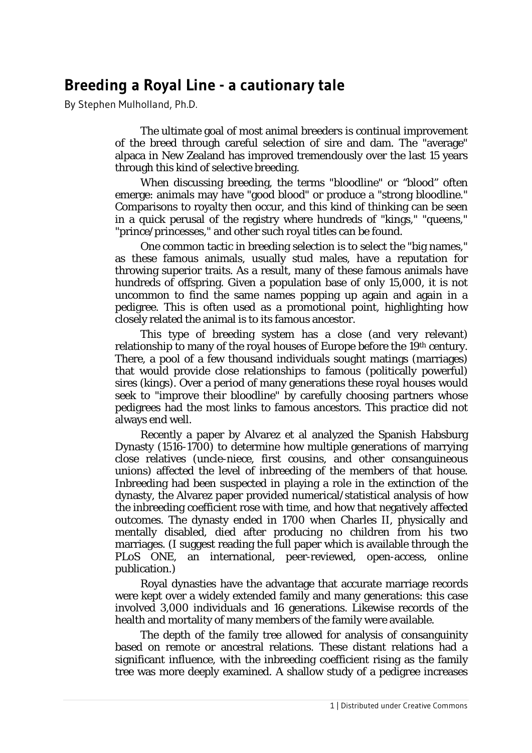## **Breeding a Royal Line - a cautionary tale**

By Stephen Mulholland, Ph.D.

The ultimate goal of most animal breeders is continual improvement of the breed through careful selection of sire and dam. The "average" alpaca in New Zealand has improved tremendously over the last 15 years through this kind of selective breeding.

When discussing breeding, the terms "bloodline" or "blood" often emerge: animals may have "good blood" or produce a "strong bloodline." Comparisons to royalty then occur, and this kind of thinking can be seen in a quick perusal of the registry where hundreds of "kings," "queens," "prince/princesses," and other such royal titles can be found.

One common tactic in breeding selection is to select the "big names," as these famous animals, usually stud males, have a reputation for throwing superior traits. As a result, many of these famous animals have hundreds of offspring. Given a population base of only 15,000, it is not uncommon to find the same names popping up again and again in a pedigree. This is often used as a promotional point, highlighting how closely related the animal is to its famous ancestor.

This type of breeding system has a close (and very relevant) relationship to many of the royal houses of Europe before the 19th century. There, a pool of a few thousand individuals sought matings (marriages) that would provide close relationships to famous (politically powerful) sires (kings). Over a period of many generations these royal houses would seek to "improve their bloodline" by carefully choosing partners whose pedigrees had the most links to famous ancestors. This practice did not always end well.

Recently a paper by Alvarez et al analyzed the Spanish Habsburg Dynasty (1516-1700) to determine how multiple generations of marrying close relatives (uncle-niece, first cousins, and other consanguineous unions) affected the level of inbreeding of the members of that house. Inbreeding had been suspected in playing a role in the extinction of the dynasty, the Alvarez paper provided numerical/statistical analysis of how the inbreeding coefficient rose with time, and how that negatively affected outcomes. The dynasty ended in 1700 when Charles II, physically and mentally disabled, died after producing no children from his two marriages. (I suggest reading the full paper which is available through the *PLoS ONE*, an international, peer-reviewed, open-access, online publication.)

Royal dynasties have the advantage that accurate marriage records were kept over a widely extended family and many generations: this case involved 3,000 individuals and 16 generations. Likewise records of the health and mortality of many members of the family were available.

The depth of the family tree allowed for analysis of consanguinity based on remote or ancestral relations. These distant relations had a significant influence, with the inbreeding coefficient rising as the family tree was more deeply examined. A shallow study of a pedigree increases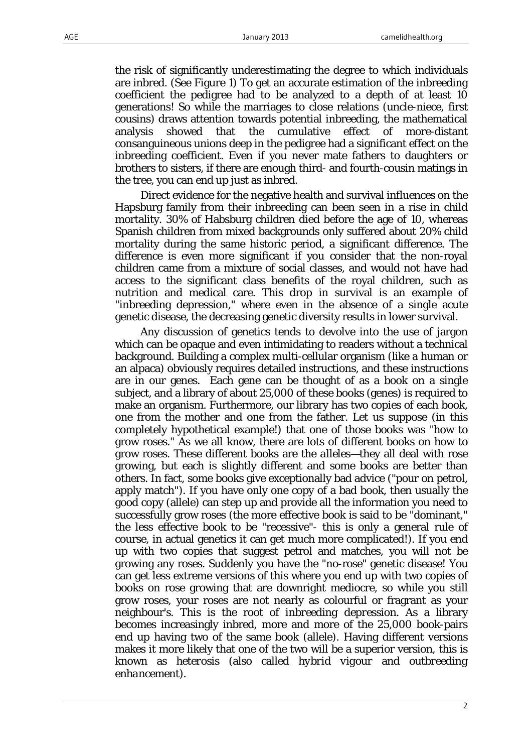the risk of significantly underestimating the degree to which individuals are inbred. (See Figure 1) To get an accurate estimation of the inbreeding coefficient the pedigree had to be analyzed to a depth of at least 10 generations! So while the marriages to close relations (uncle-niece, first cousins) draws attention towards potential inbreeding, the mathematical analysis showed that the cumulative effect of more-distant consanguineous unions deep in the pedigree had a significant effect on the inbreeding coefficient. Even if you never mate fathers to daughters or brothers to sisters, if there are enough third- and fourth-cousin matings in the tree, you can end up just as inbred.

Direct evidence for the negative health and survival influences on the Hapsburg family from their inbreeding can been seen in a rise in child mortality. 30% of Habsburg children died before the age of 10, whereas Spanish children from mixed backgrounds only suffered about 20% child mortality during the same historic period, a significant difference. The difference is even more significant if you consider that the non-royal children came from a mixture of social classes, and would not have had access to the significant class benefits of the royal children, such as nutrition and medical care. This drop in survival is an example of "inbreeding depression," where even in the absence of a single acute genetic disease, the decreasing genetic diversity results in lower survival.

Any discussion of genetics tends to devolve into the use of jargon which can be opaque and even intimidating to readers without a technical background. Building a complex multi-cellular organism (like a human or an alpaca) obviously requires detailed instructions, and these instructions are in our genes. Each gene can be thought of as a book on a single subject, and a library of about 25,000 of these books (genes) is required to make an organism. Furthermore, our library has two copies of each book, one from the mother and one from the father. Let us suppose (in this completely hypothetical example!) that one of those books was "how to grow roses." As we all know, there are lots of different books on how to grow roses. These different books are the *alleles*—they all deal with rose growing, but each is slightly different and some books are better than others. In fact, some books give exceptionally bad advice ("pour on petrol, apply match"). If you have only one copy of a bad book, then usually the good copy (allele) can step up and provide all the information you need to successfully grow roses (the more effective book is said to be "dominant," the less effective book to be "recessive"- this is only a general rule of course, in actual genetics it can get much more complicated!). If you end up with two copies that suggest petrol and matches, you will not be growing any roses. Suddenly you have the "no-rose" genetic disease! You can get less extreme versions of this where you end up with two copies of books on rose growing that are downright mediocre, so while you still grow roses, your roses are not nearly as colourful or fragrant as your neighbour's. This is the root of *inbreeding depression*. As a library becomes increasingly inbred, more and more of the 25,000 book-pairs end up having two of the same book (allele). Having different versions makes it more likely that one of the two will be a superior version, this is known as *heterosis* (also called *hybrid vigour* and *outbreeding enhancement*).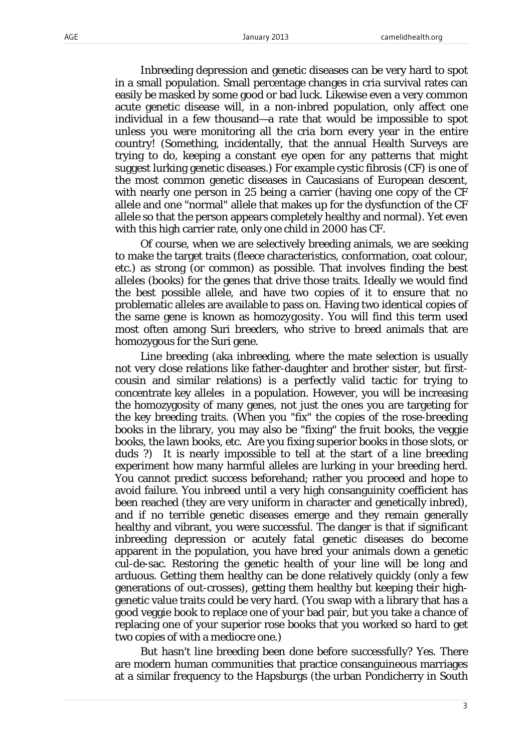Inbreeding depression and genetic diseases can be very hard to spot in a small population. Small percentage changes in cria survival rates can easily be masked by some good or bad luck. Likewise even a very common acute genetic disease will, in a non-inbred population, only affect one individual in a few thousand—a rate that would be impossible to spot unless you were monitoring all the cria born every year in the entire country! (Something, incidentally, that the annual Health Surveys are trying to do, keeping a constant eye open for any patterns that might suggest lurking genetic diseases.) For example cystic fibrosis (CF) is one of the most common genetic diseases in Caucasians of European descent, with nearly one person in 25 being a carrier (having one copy of the CF allele and one "normal" allele that makes up for the dysfunction of the CF allele so that the person appears completely healthy and normal). Yet even with this high carrier rate, only one child in 2000 has CF.

Of course, when we are selectively breeding animals, we are seeking to make the target traits (fleece characteristics, conformation, coat colour, etc.) as strong (or common) as possible. That involves finding the best alleles (books) for the genes that drive those traits. Ideally we would find the best possible allele, and have two copies of it to ensure that no problematic alleles are available to pass on. Having two identical copies of the same gene is known as *homozygosity*. You will find this term used most often among Suri breeders, who strive to breed animals that are homozygous for the Suri gene.

Line breeding (aka inbreeding, where the mate selection is usually not very close relations like father-daughter and brother sister, but firstcousin and similar relations) is a perfectly valid tactic for trying to concentrate key alleles in a population. However, you will be increasing the homozygosity of many genes, not just the ones you are targeting for the key breeding traits. (When you "fix" the copies of the rose-breeding books in the library, you may also be "fixing" the fruit books, the veggie books, the lawn books, etc. Are you fixing superior books in those slots, or duds ?) It is nearly impossible to tell at the start of a line breeding experiment how many harmful alleles are lurking in your breeding herd. You cannot predict success beforehand; rather you proceed and hope to avoid failure. You inbreed until a very high consanguinity coefficient has been reached (they are very uniform in character and genetically inbred), and if no terrible genetic diseases emerge and they remain generally healthy and vibrant, you were successful. The danger is that if significant inbreeding depression or acutely fatal genetic diseases do become apparent in the population, you have bred your animals down a genetic cul-de-sac. Restoring the genetic health of your line will be long and arduous. Getting them healthy can be done relatively quickly (only a few generations of out-crosses), getting them healthy but keeping their highgenetic value traits could be very hard. (You swap with a library that has a good veggie book to replace one of your bad pair, but you take a chance of replacing one of your superior rose books that you worked so hard to get two copies of with a mediocre one.)

But hasn't line breeding been done before successfully? Yes. There are modern human communities that practice consanguineous marriages at a similar frequency to the Hapsburgs (the urban Pondicherry in South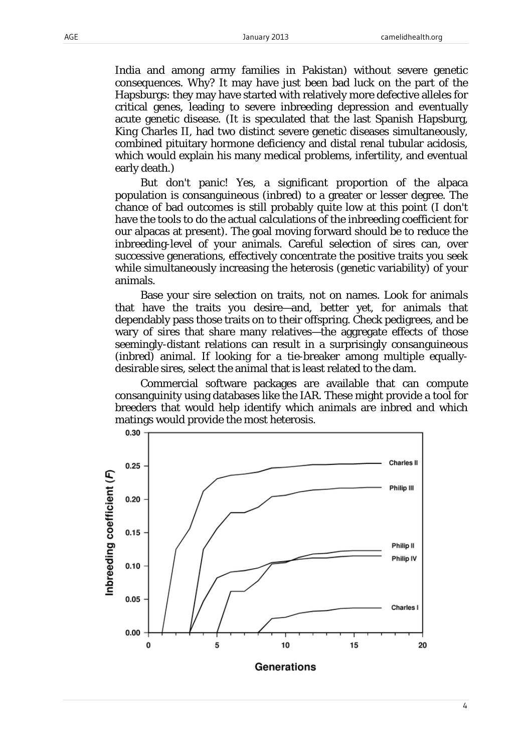India and among army families in Pakistan) without severe genetic consequences. Why? It may have just been bad luck on the part of the Hapsburgs: they may have started with relatively more defective alleles for critical genes, leading to severe inbreeding depression and eventually acute genetic disease. (It is speculated that the last Spanish Hapsburg, King Charles II, had two distinct severe genetic diseases simultaneously, combined pituitary hormone deficiency and distal renal tubular acidosis, which would explain his many medical problems, infertility, and eventual early death.)

But don't panic! Yes, a significant proportion of the alpaca population is consanguineous (inbred) to a greater or lesser degree. The chance of bad outcomes is still probably quite low at this point (I don't have the tools to do the actual calculations of the inbreeding coefficient for our alpacas at present). The goal moving forward should be to reduce the inbreeding-level of your animals. Careful selection of sires can, over successive generations, effectively concentrate the positive traits you seek while simultaneously increasing the heterosis (genetic variability) of your animals.

Base your sire selection on traits, not on names. Look for animals that have the traits you desire—and, better yet, for animals that dependably pass those traits on to their offspring. Check pedigrees, and be wary of sires that share many relatives—the aggregate effects of those seemingly-distant relations can result in a surprisingly consanguineous (inbred) animal. If looking for a tie-breaker among multiple equallydesirable sires, select the animal that is least related to the dam.

Commercial software packages are available that can compute consanguinity using databases like the IAR. These might provide a tool for breeders that would help identify which animals are inbred and which matings would provide the most heterosis.